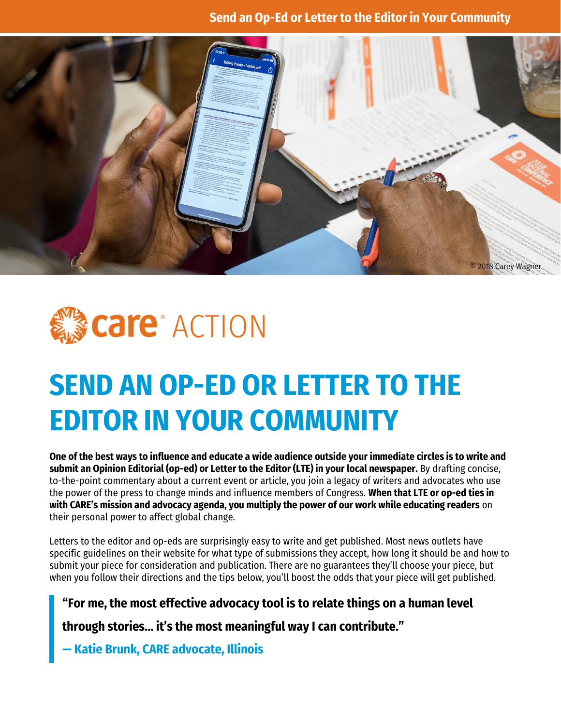#### **Send an Op-Ed or Letter to the Editor in Your Community**





# **SEND AN OP-ED OR LETTER TO THE EDITOR IN YOUR COMMUNITY**

**One of the best ways to influence and educate a wide audience outside your immediate circles is to write and submit an Opinion Editorial (op-ed) or Letter to the Editor (LTE) in your local newspaper.** By drafting concise, to-the-point commentary about a current event or article, you join a legacy of writers and advocates who use the power of the press to change minds and influence members of Congress. **When that LTE or op-ed ties in with CARE's mission and advocacy agenda, you multiply the power of our work while educating readers** on their personal power to affect global change.

Letters to the editor and op-eds are surprisingly easy to write and get published. Most news outlets have specific guidelines on their website for what type of submissions they accept, how long it should be and how to submit your piece for consideration and publication. There are no guarantees they'll choose your piece, but when you follow their directions and the tips below, you'll boost the odds that your piece will get published.

**"For me, the most effective advocacy tool is to relate things on a human level** 

**through stories… it's the most meaningful way I can contribute."**

**— Katie Brunk, CARE advocate, Illinois**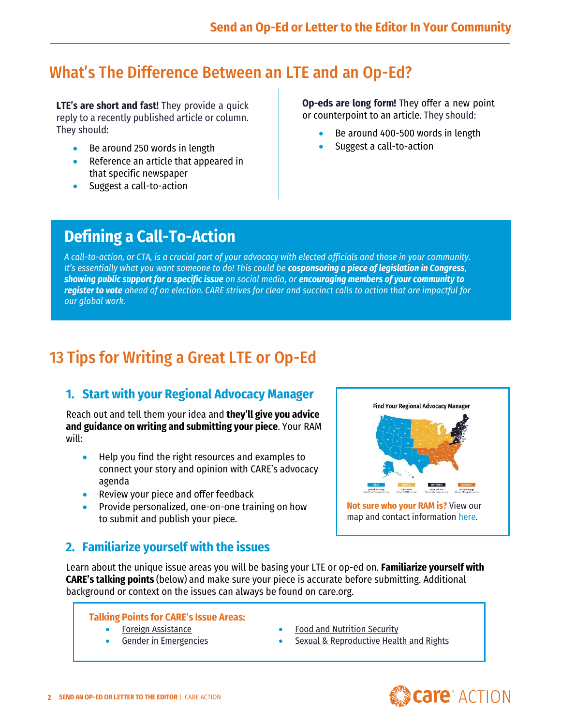# What's The Difference Between an LTE and an Op-Ed?

**LTE's are short and fast!** They provide a quick reply to a recently published article or column. They should:

- Be around 250 words in length
- Reference an article that appeared in that specific newspaper
- Suggest a call-to-action

**Op-eds are long form!** They offer a new point or counterpoint to an article. They should:

- Be around 400-500 words in length
- Suggest a call-to-action

# **Defining a Call-To-Action**

*A call-to-action, or CTA, is a crucial part of your advocacy with elected officials and those in your community. It's essentially what you want someone to do! This could be cosponsoring a piece of legislation in Congress, showing public support for a specific issue on social media, or encouraging members of your community to register to vote ahead of an election. CARE strives for clear and succinct calls to action that are impactful for our global work.*

# 13 Tips for Writing a Great LTE or Op-Ed

## **1. Start with your Regional Advocacy Manager**

Reach out and tell them your idea and **they'll give you advice and guidance on writing and submitting your piece**. Your RAM will:

- Help you find the right resources and examples to connect your story and opinion with CARE's advocacy agenda
- Review your piece and offer feedback
- Provide personalized, one-on-one training on how to submit and publish your piece.



## **2. Familiarize yourself with the issues**

Learn about the unique issue areas you will be basing your LTE or op-ed on. **Familiarize yourself with CARE's talking points** (below) and make sure your piece is accurate before submitting. Additional background or context on the issues can always be found on care.org.

#### **Talking Points for CARE's Issue Areas:**

- [Foreign Assistance](https://care.org/wp-content/uploads/2020/08/US-Foreign-Assistance-Issue-Brief-2019-SCREEN.pdf)
- [Gender in Emergencies](https://care.org/wp-content/uploads/2020/08/Gender-in-Emergencies-Issue-Brief-2019-SCREEN.pdf)
- [Food and Nutrition Security](https://care.org/wp-content/uploads/2020/08/FNS-Issue-Brief-2019-Screen.pdf)
- **[Sexual & Reproductive Health and Rights](https://care.org/wp-content/uploads/2020/08/Healthy-Moms-Healthy-Society-Issue-Brief-2019-SCREEN.pdf)**

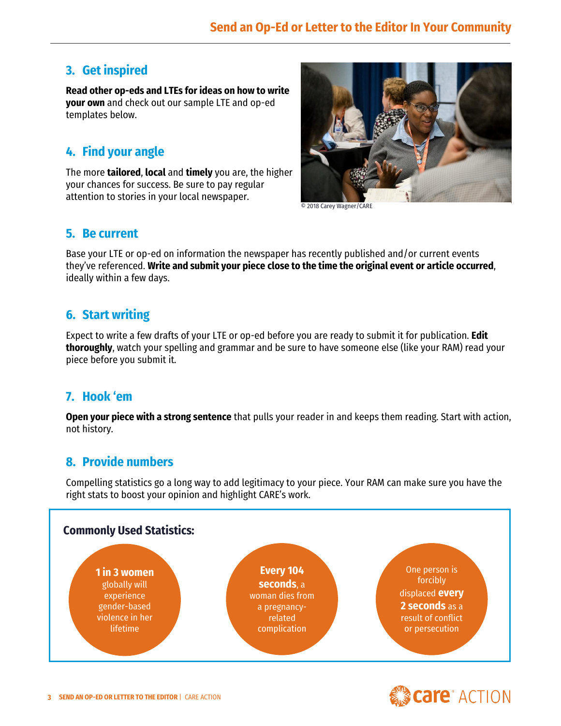## **3. Get inspired**

**Read other op-eds and LTEs for ideas on how to write your own** and check out our sample LTE and op-ed templates below.

## **4. Find your angle**

The more **tailored**, **local** and **timely** you are, the higher your chances for success. Be sure to pay regular attention to stories in your local newspaper.



© 2018 Carey Wagner/CARE

#### **5. Be current**

Base your LTE or op-ed on information the newspaper has recently published and/or current events they've referenced. **Write and submit your piece close to the time the original event or article occurred**, ideally within a few days.

## **6. Start writing**

Expect to write a few drafts of your LTE or op-ed before you are ready to submit it for publication. **Edit thoroughly**, watch your spelling and grammar and be sure to have someone else (like your RAM) read your piece before you submit it.

#### **7. Hook 'em**

**Open your piece with a strong sentence** that pulls your reader in and keeps them reading. Start with action, not history.

## **8. Provide numbers**

Compelling statistics go a long way to add legitimacy to your piece. Your RAM can make sure you have the right stats to boost your opinion and highlight CARE's work.



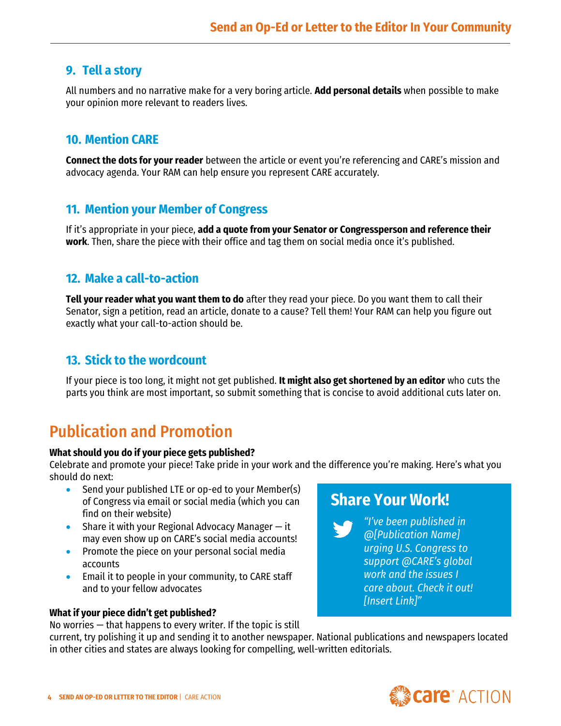#### **9. Tell a story**

All numbers and no narrative make for a very boring article. **Add personal details** when possible to make your opinion more relevant to readers lives.

## **10. Mention CARE**

**Connect the dots for your reader** between the article or event you're referencing and CARE's mission and advocacy agenda. Your RAM can help ensure you represent CARE accurately.

#### **11. Mention your Member of Congress**

If it's appropriate in your piece, **add a quote from your Senator or Congressperson and reference their work**. Then, share the piece with their office and tag them on social media once it's published.

#### **12. Make a call-to-action**

**Tell your reader what you want them to do** after they read your piece. Do you want them to call their Senator, sign a petition, read an article, donate to a cause? Tell them! Your RAM can help you figure out exactly what your call-to-action should be.

#### **13. Stick to the wordcount**

If your piece is too long, it might not get published. **It might also get shortened by an editor** who cuts the parts you think are most important, so submit something that is concise to avoid additional cuts later on.

# Publication and Promotion

#### **What should you do if your piece gets published?**

Celebrate and promote your piece! Take pride in your work and the difference you're making. Here's what you should do next:

- Send your published LTE or op-ed to your Member(s) of Congress via email or social media (which you can find on their website)
- Share it with your Regional Advocacy Manager  $-$  it may even show up on CARE's social media accounts!
- Promote the piece on your personal social media accounts
- Email it to people in your community, to CARE staff and to your fellow advocates

#### **What if your piece didn't get published?**

No worries — that happens to every writer. If the topic is still

# **Share Your Work!**

*"I've been published in @[Publication Name] urging U.S. Congress to support @CARE's global work and the issues I care about. Check it out! [Insert Link]"*

current, try polishing it up and sending it to another newspaper. National publications and newspapers located in other cities and states are always looking for compelling, well-written editorials.

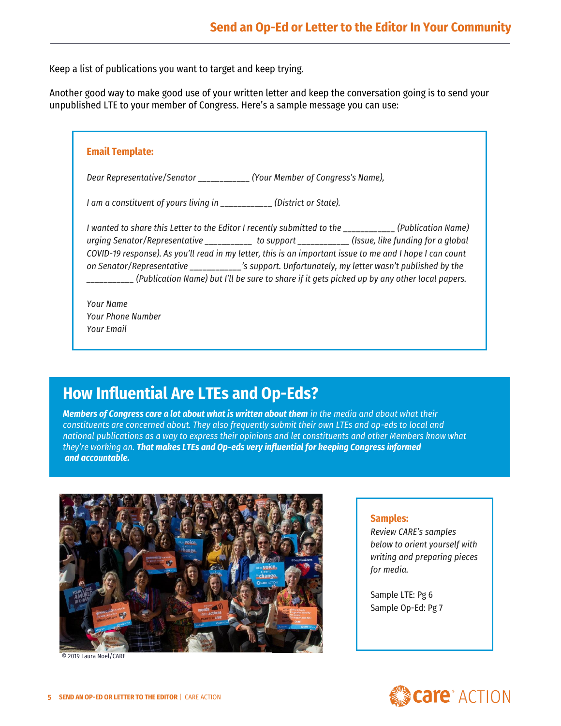Keep a list of publications you want to target and keep trying.

Another good way to make good use of your written letter and keep the conversation going is to send your unpublished LTE to your member of Congress. Here's a sample message you can use:

| <b>Email Template:</b>                                                                                                                                                                                                                                                                                                                                                                                                                                                                                                           |
|----------------------------------------------------------------------------------------------------------------------------------------------------------------------------------------------------------------------------------------------------------------------------------------------------------------------------------------------------------------------------------------------------------------------------------------------------------------------------------------------------------------------------------|
| Dear Representative/Senator ____________ (Your Member of Congress's Name),                                                                                                                                                                                                                                                                                                                                                                                                                                                       |
| I am a constituent of yours living in ____________ (District or State).                                                                                                                                                                                                                                                                                                                                                                                                                                                          |
| I wanted to share this Letter to the Editor I recently submitted to the ___________(Publication Name)<br>urging Senator/Representative ___________ to support ____________(Issue, like funding for a global<br>COVID-19 response). As you'll read in my letter, this is an important issue to me and I hope I can count<br>on Senator/Representative _______________'s support. Unfortunately, my letter wasn't published by the<br>(Publication Name) but I'll be sure to share if it gets picked up by any other local papers. |
| Your Name<br>Your Phone Number<br>Your Fmail                                                                                                                                                                                                                                                                                                                                                                                                                                                                                     |

# **How Influential Are LTEs and Op-Eds?**

*Members of Congress care a lot about what is written about them in the media and about what their constituents are concerned about. They also frequently submit their own LTEs and op-eds to local and national publications as a way to express their opinions and let constituents and other Members know what they're working on. That makes LTEs and Op-eds very influential for keeping Congress informed and accountable.* 



© 2019 Laura Noel/CARE

#### **Samples:**

*Review CARE's samples below to orient yourself with writing and preparing pieces for media.*

Sample LTE: Pg 6 Sample Op-Ed: Pg 7

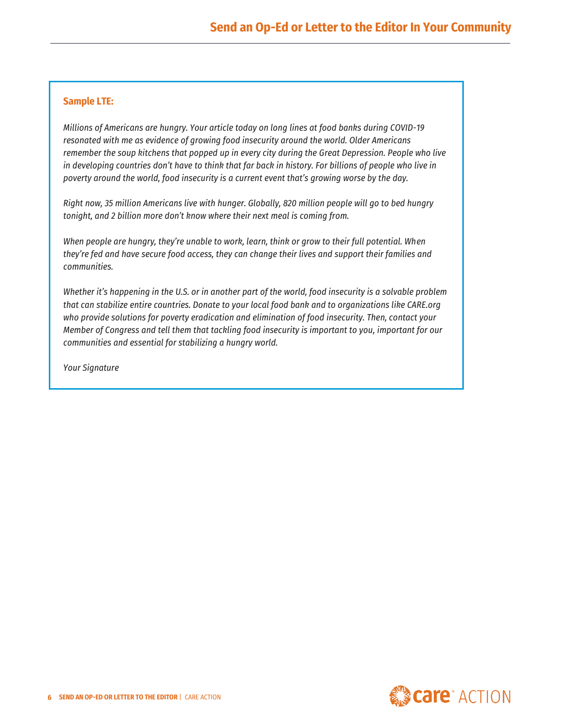#### **Sample LTE:**

*Millions of Americans are hungry. Your article today on long lines at food banks during COVID-19 resonated with me as evidence of growing food insecurity around the world. Older Americans remember the soup kitchens that popped up in every city during the Great Depression. People who live in developing countries don't have to think that far back in history. For billions of people who live in poverty around the world, food insecurity is a current event that's growing worse by the day.* 

*Right now, 35 million Americans live with hunger. Globally, 820 million people will go to bed hungry tonight, and 2 billion more don't know where their next meal is coming from.*

*When people are hungry, they're unable to work, learn, think or grow to their full potential. When they're fed and have secure food access, they can change their lives and support their families and communities.* 

*Whether it's happening in the U.S. or in another part of the world, food insecurity is a solvable problem that can stabilize entire countries. Donate to your local food bank and to organizations like CARE.org who provide solutions for poverty eradication and elimination of food insecurity. Then, contact your Member of Congress and tell them that tackling food insecurity is important to you, important for our communities and essential for stabilizing a hungry world.* 

*Your Signature*